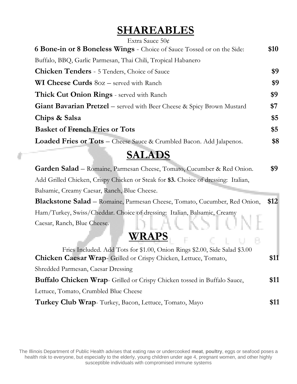## **SHAREABLES**

| Extra Sauce $50¢$                                                             |      |
|-------------------------------------------------------------------------------|------|
| 6 Bone-in or 8 Boneless Wings - Choice of Sauce Tossed or on the Side:        | \$10 |
| Buffalo, BBQ, Garlic Parmesan, Thai Chili, Tropical Habanero                  |      |
| <b>Chicken Tenders</b> - 5 Tenders, Choice of Sauce                           | \$9  |
| <b>WI Cheese Curds</b> $8oz$ – served with Ranch                              | \$9  |
| <b>Thick Cut Onion Rings</b> - served with Ranch                              | \$9  |
| <b>Giant Bavarian Pretzel</b> – served with Beer Cheese & Spicy Brown Mustard | \$7  |
| Chips & Salsa                                                                 | \$5  |
| <b>Basket of French Fries or Tots</b>                                         | \$5  |
| <b>Loaded Fries or Tots</b> – Cheese Sauce & Crumbled Bacon. Add Jalapenos.   | \$8  |
|                                                                               |      |

## **SALADS**

**Garden Salad** – Romaine, Parmesan Cheese, Tomato, Cucumber & Red Onion. **\$9** Add Grilled Chicken, Crispy Chicken or Steak for **\$3.** Choice of dressing: Italian, Balsamic, Creamy Caesar, Ranch, Blue Cheese.

**Blackstone Salad** – Romaine, Parmesan Cheese, Tomato, Cucumber, Red Onion, **\$12** Ham/Turkey, Swiss/Cheddar. Choice of dressing: Italian, Balsamic, Creamy Caesar, Ranch, Blue Cheese.

B.

#### **WRAPS**

| Fries Included. Add Tots for \$1.00, Onion Rings \$2.00, Side Salad \$3.00      |      |
|---------------------------------------------------------------------------------|------|
| <b>Chicken Caesar Wrap-</b> Grilled or Crispy Chicken, Lettuce, Tomato,         | \$11 |
| Shredded Parmesan, Caesar Dressing                                              |      |
| <b>Buffalo Chicken Wrap-</b> Grilled or Crispy Chicken tossed in Buffalo Sauce, | \$11 |
| Lettuce, Tomato, Crumbled Blue Cheese                                           |      |
| Turkey Club Wrap-Turkey, Bacon, Lettuce, Tomato, Mayo                           | \$11 |

The Illinois Department of Public Health advises that eating raw or undercooked **meat**, **poultry**, eggs or seafood poses a health risk to everyone, but especially to the elderly, young children under age 4, pregnant women, and other highly susceptible individuals with compromised immune systems